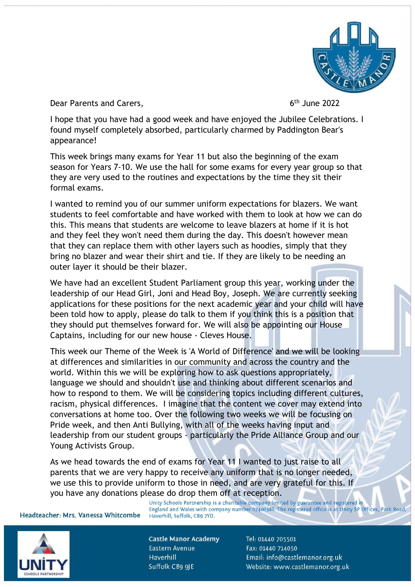

Dear Parents and Carers,

 $6<sup>th</sup>$  June 2022

I hope that you have had a good week and have enjoyed the Jubilee Celebrations. I found myself completely absorbed, particularly charmed by Paddington Bear's appearance!

This week brings many exams for Year 11 but also the beginning of the exam season for Years 7-10. We use the hall for some exams for every year group so that they are very used to the routines and expectations by the time they sit their formal exams.

I wanted to remind you of our summer uniform expectations for blazers. We want students to feel comfortable and have worked with them to look at how we can do this. This means that students are welcome to leave blazers at home if it is hot and they feel they won't need them during the day. This doesn't however mean that they can replace them with other layers such as hoodies, simply that they bring no blazer and wear their shirt and tie. If they are likely to be needing an outer layer it should be their blazer.

We have had an excellent Student Parliament group this year, working under the leadership of our Head Girl, Joni and Head Boy, Joseph. We are currently seeking applications for these positions for the next academic year and your child will have been told how to apply, please do talk to them if you think this is a position that they should put themselves forward for. We will also be appointing our House Captains, including for our new house - Cleves House.

This week our Theme of the Week is 'A World of Difference' and we will be looking at differences and similarities in our community and across the country and the world. Within this we will be exploring how to ask questions appropriately, language we should and shouldn't use and thinking about different scenarios and how to respond to them. We will be considering topics including different cultures, racism, physical differences. I imagine that the content we cover may extend into conversations at home too. Over the following two weeks we will be focusing on Pride week, and then Anti Bullying, with all of the weeks having input and leadership from our student groups - particularly the Pride Alliance Group and our Young Activists Group.

As we head towards the end of exams for Year 11 I wanted to just raise to all parents that we are very happy to receive any uniform that is no longer needed, we use this to provide uniform to those in need, and are very grateful for this. If you have any donations please do drop them off at reception.<br>Unity Schools Partnership is a charitable company limited by guarantee and registered in<br>England and Wales with company number 07400386. The registered office is

Headteacher: Mrs. Vanessa Whitcombe

**Castle Manor Academy** Eastern Avenue Haverhill Suffolk CB9 9JE

Haverhill, Suffolk, CB9 7YD.

Tel: 01440 705501 Fax: 01440 714050 Email: info@castlemanor.org.uk Website: www.castlemanor.org.uk